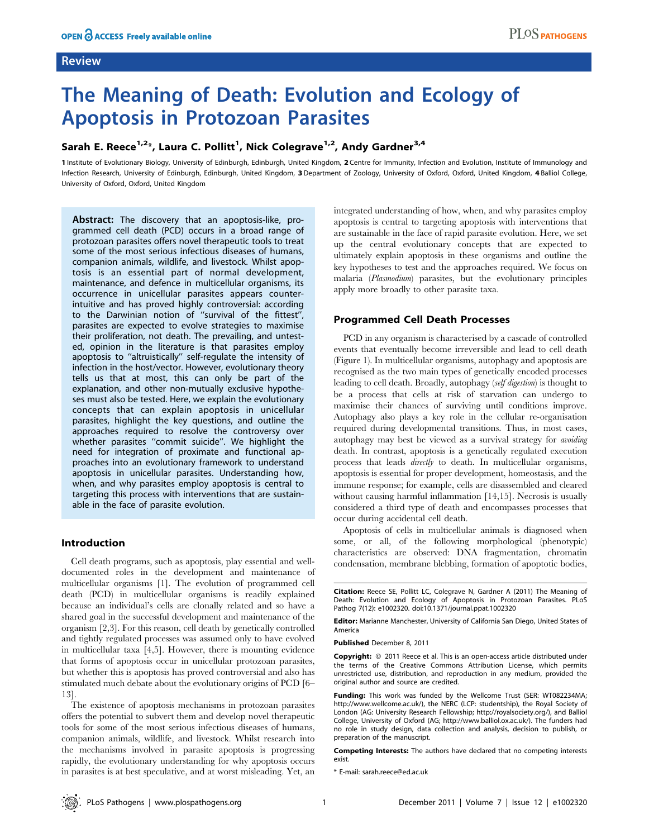## **Review**

# The Meaning of Death: Evolution and Ecology of Apoptosis in Protozoan Parasites

# Sarah E. Reece<sup>1,2\*</sup>, Laura C. Pollitt<sup>1</sup>, Nick Colegrave<sup>1,2</sup>, Andy Gardner<sup>3,4</sup>

1 Institute of Evolutionary Biology, University of Edinburgh, Edinburgh, United Kingdom, 2 Centre for Immunity, Infection and Evolution, Institute of Immunology and Infection Research, University of Edinburgh, Edinburgh, United Kingdom, 3 Department of Zoology, University of Oxford, Oxford, United Kingdom, 4 Balliol College, University of Oxford, Oxford, United Kingdom

Abstract: The discovery that an apoptosis-like, programmed cell death (PCD) occurs in a broad range of protozoan parasites offers novel therapeutic tools to treat some of the most serious infectious diseases of humans, companion animals, wildlife, and livestock. Whilst apoptosis is an essential part of normal development, maintenance, and defence in multicellular organisms, its occurrence in unicellular parasites appears counterintuitive and has proved highly controversial: according to the Darwinian notion of ''survival of the fittest'', parasites are expected to evolve strategies to maximise their proliferation, not death. The prevailing, and untested, opinion in the literature is that parasites employ apoptosis to ''altruistically'' self-regulate the intensity of infection in the host/vector. However, evolutionary theory tells us that at most, this can only be part of the explanation, and other non-mutually exclusive hypotheses must also be tested. Here, we explain the evolutionary concepts that can explain apoptosis in unicellular parasites, highlight the key questions, and outline the approaches required to resolve the controversy over whether parasites ''commit suicide''. We highlight the need for integration of proximate and functional approaches into an evolutionary framework to understand apoptosis in unicellular parasites. Understanding how, when, and why parasites employ apoptosis is central to targeting this process with interventions that are sustainable in the face of parasite evolution.

## Introduction

Cell death programs, such as apoptosis, play essential and welldocumented roles in the development and maintenance of multicellular organisms [1]. The evolution of programmed cell death (PCD) in multicellular organisms is readily explained because an individual's cells are clonally related and so have a shared goal in the successful development and maintenance of the organism [2,3]. For this reason, cell death by genetically controlled and tightly regulated processes was assumed only to have evolved in multicellular taxa [4,5]. However, there is mounting evidence that forms of apoptosis occur in unicellular protozoan parasites, but whether this is apoptosis has proved controversial and also has stimulated much debate about the evolutionary origins of PCD [6– 13].

The existence of apoptosis mechanisms in protozoan parasites offers the potential to subvert them and develop novel therapeutic tools for some of the most serious infectious diseases of humans, companion animals, wildlife, and livestock. Whilst research into the mechanisms involved in parasite apoptosis is progressing rapidly, the evolutionary understanding for why apoptosis occurs in parasites is at best speculative, and at worst misleading. Yet, an integrated understanding of how, when, and why parasites employ apoptosis is central to targeting apoptosis with interventions that are sustainable in the face of rapid parasite evolution. Here, we set up the central evolutionary concepts that are expected to ultimately explain apoptosis in these organisms and outline the key hypotheses to test and the approaches required. We focus on malaria (Plasmodium) parasites, but the evolutionary principles apply more broadly to other parasite taxa.

## Programmed Cell Death Processes

PCD in any organism is characterised by a cascade of controlled events that eventually become irreversible and lead to cell death (Figure 1). In multicellular organisms, autophagy and apoptosis are recognised as the two main types of genetically encoded processes leading to cell death. Broadly, autophagy (self digestion) is thought to be a process that cells at risk of starvation can undergo to maximise their chances of surviving until conditions improve. Autophagy also plays a key role in the cellular re-organisation required during developmental transitions. Thus, in most cases, autophagy may best be viewed as a survival strategy for avoiding death. In contrast, apoptosis is a genetically regulated execution process that leads directly to death. In multicellular organisms, apoptosis is essential for proper development, homeostasis, and the immune response; for example, cells are disassembled and cleared without causing harmful inflammation [14,15]. Necrosis is usually considered a third type of death and encompasses processes that occur during accidental cell death.

Apoptosis of cells in multicellular animals is diagnosed when some, or all, of the following morphological (phenotypic) characteristics are observed: DNA fragmentation, chromatin condensation, membrane blebbing, formation of apoptotic bodies,

Editor: Marianne Manchester, University of California San Diego, United States of America

Published December 8, 2011

Copyright: © 2011 Reece et al. This is an open-access article distributed under the terms of the Creative Commons Attribution License, which permits unrestricted use, distribution, and reproduction in any medium, provided the original author and source are credited.

Funding: This work was funded by the Wellcome Trust (SER: WT082234MA; http://www.wellcome.ac.uk/), the NERC (LCP: studentship), the Royal Society of London (AG: University Research Fellowship; http://royalsociety.org/), and Balliol College, University of Oxford (AG; http://www.balliol.ox.ac.uk/). The funders had no role in study design, data collection and analysis, decision to publish, or preparation of the manuscript.

Competing Interests: The authors have declared that no competing interests exist.

\* E-mail: sarah.reece@ed.ac.uk

Citation: Reece SE, Pollitt LC, Colegrave N, Gardner A (2011) The Meaning of Death: Evolution and Ecology of Apoptosis in Protozoan Parasites. PLoS Pathog 7(12): e1002320. doi:10.1371/journal.ppat.1002320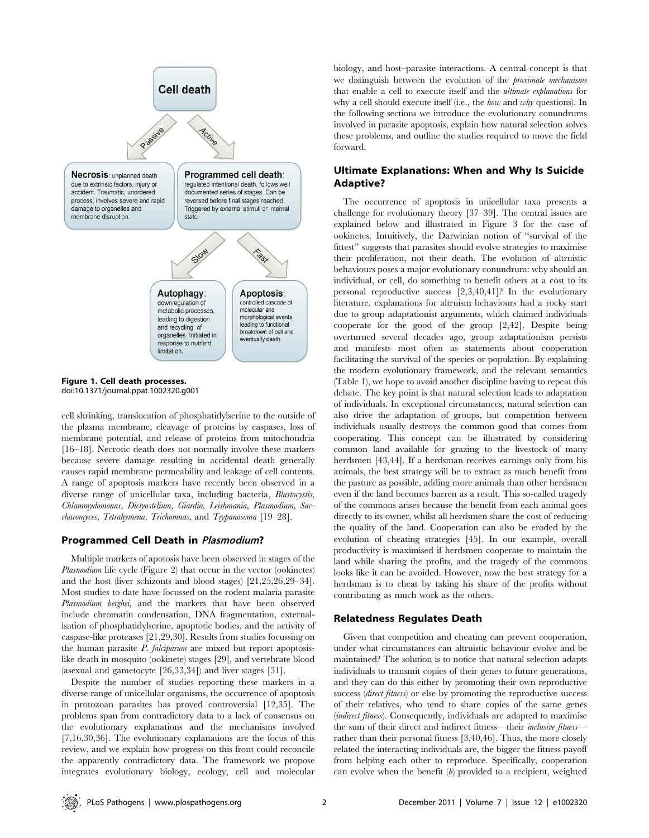

Figure 1. Cell death processes. doi:10.1371/journal.ppat.1002320.g001

cell shrinking, translocation of phosphatidylserine to the outside of the plasma membrane, cleavage of proteins by caspases, loss of membrane potential, and release of proteins from mitochondria [16–18]. Necrotic death does not normally involve these markers because severe damage resulting in accidental death generally causes rapid membrane permeability and leakage of cell contents. A range of apoptosis markers have recently been observed in a diverse range of unicellular taxa, including bacteria, *Blastocystis*, Chlammydomonas, Dictyostelium, Giardia, Leishmania, Plasmodium, Saccharomyces, Tetrahymena, Trichomnas, and Trypanosoma [19–28].

## Programmed Cell Death in Plasmodium?

Multiple markers of apotosis have been observed in stages of the Plasmodium life cycle (Figure 2) that occur in the vector (ookinetes) and the host (liver schizonts and blood stages) [21,25,26,29–34]. Most studies to date have focussed on the rodent malaria parasite Plasmodium berghei, and the markers that have been observed include chromatin condensation, DNA fragmentation, externalisation of phosphatidylserine, apoptotic bodies, and the activity of caspase-like proteases [21,29,30]. Results from studies focussing on the human parasite P. falciparum are mixed but report apoptosislike death in mosquito (ookinete) stages [29], and vertebrate blood (asexual and gametocyte [26,33,34]) and liver stages [31].

Despite the number of studies reporting these markers in a diverse range of unicellular organisms, the occurrence of apoptosis in protozoan parasites has proved controversial [12,35]. The problems span from contradictory data to a lack of consensus on the evolutionary explanations and the mechanisms involved [7,16,30,36]. The evolutionary explanations are the focus of this review, and we explain how progress on this front could reconcile the apparently contradictory data. The framework we propose integrates evolutionary biology, ecology, cell and molecular

biology, and host–parasite interactions. A central concept is that we distinguish between the evolution of the proximate mechanisms that enable a cell to execute itself and the ultimate explanations for why a cell should execute itself (i.e., the *how* and why questions). In the following sections we introduce the evolutionary conundrums involved in parasite apoptosis, explain how natural selection solves these problems, and outline the studies required to move the field forward.

## Ultimate Explanations: When and Why Is Suicide Adaptive?

The occurrence of apoptosis in unicellular taxa presents a challenge for evolutionary theory [37–39]. The central issues are explained below and illustrated in Figure 3 for the case of ookinetes. Intuitively, the Darwinian notion of ''survival of the fittest'' suggests that parasites should evolve strategies to maximise their proliferation, not their death. The evolution of altruistic behaviours poses a major evolutionary conundrum: why should an individual, or cell, do something to benefit others at a cost to its personal reproductive success [2,3,40,41]? In the evolutionary literature, explanations for altruism behaviours had a rocky start due to group adaptationist arguments, which claimed individuals cooperate for the good of the group [2,42]. Despite being overturned several decades ago, group adaptationism persists and manifests most often as statements about cooperation facilitating the survival of the species or population. By explaining the modern evolutionary framework, and the relevant semantics (Table 1), we hope to avoid another discipline having to repeat this debate. The key point is that natural selection leads to adaptation of individuals. In exceptional circumstances, natural selection can also drive the adaptation of groups, but competition between individuals usually destroys the common good that comes from cooperating. This concept can be illustrated by considering common land available for grazing to the livestock of many herdsmen [43,44]. If a herdsman receives earnings only from his animals, the best strategy will be to extract as much benefit from the pasture as possible, adding more animals than other herdsmen even if the land becomes barren as a result. This so-called tragedy of the commons arises because the benefit from each animal goes directly to its owner, whilst all herdsmen share the cost of reducing the quality of the land. Cooperation can also be eroded by the evolution of cheating strategies [45]. In our example, overall productivity is maximised if herdsmen cooperate to maintain the land while sharing the profits, and the tragedy of the commons looks like it can be avoided. However, now the best strategy for a herdsman is to cheat by taking his share of the profits without contributing as much work as the others.

## Relatedness Regulates Death

Given that competition and cheating can prevent cooperation, under what circumstances can altruistic behaviour evolve and be maintained? The solution is to notice that natural selection adapts individuals to transmit copies of their genes to future generations, and they can do this either by promoting their own reproductive success (direct fitness) or else by promoting the reproductive success of their relatives, who tend to share copies of the same genes (indirect fitness). Consequently, individuals are adapted to maximise the sum of their direct and indirect fitness—their *inclusive fitness* rather than their personal fitness [3,40,46]. Thus, the more closely related the interacting individuals are, the bigger the fitness payoff from helping each other to reproduce. Specifically, cooperation can evolve when the benefit  $(b)$  provided to a recipient, weighted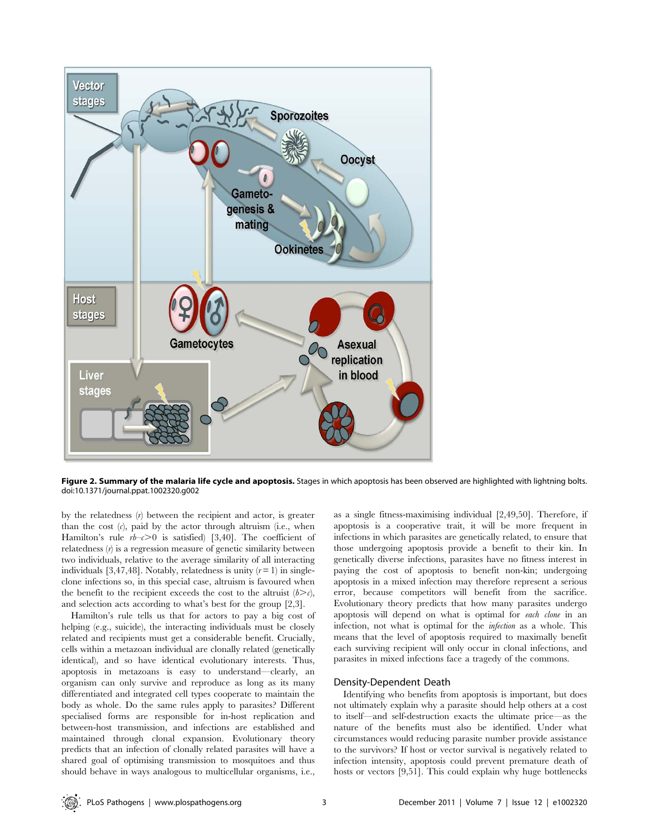

Figure 2. Summary of the malaria life cycle and apoptosis. Stages in which apoptosis has been observed are highlighted with lightning bolts. doi:10.1371/journal.ppat.1002320.g002

by the relatedness  $(r)$  between the recipient and actor, is greater than the cost  $(c)$ , paid by the actor through altruism (i.e., when Hamilton's rule  $rb-\epsilon>0$  is satisfied) [3,40]. The coefficient of relatedness  $(r)$  is a regression measure of genetic similarity between two individuals, relative to the average similarity of all interacting individuals [3,47,48]. Notably, relatedness is unity  $(r = 1)$  in singleclone infections so, in this special case, altruism is favoured when the benefit to the recipient exceeds the cost to the altruist  $(b>c)$ , and selection acts according to what's best for the group [2,3].

Hamilton's rule tells us that for actors to pay a big cost of helping (e.g., suicide), the interacting individuals must be closely related and recipients must get a considerable benefit. Crucially, cells within a metazoan individual are clonally related (genetically identical), and so have identical evolutionary interests. Thus, apoptosis in metazoans is easy to understand—clearly, an organism can only survive and reproduce as long as its many differentiated and integrated cell types cooperate to maintain the body as whole. Do the same rules apply to parasites? Different specialised forms are responsible for in-host replication and between-host transmission, and infections are established and maintained through clonal expansion. Evolutionary theory predicts that an infection of clonally related parasites will have a shared goal of optimising transmission to mosquitoes and thus should behave in ways analogous to multicellular organisms, i.e., as a single fitness-maximising individual [2,49,50]. Therefore, if apoptosis is a cooperative trait, it will be more frequent in infections in which parasites are genetically related, to ensure that those undergoing apoptosis provide a benefit to their kin. In genetically diverse infections, parasites have no fitness interest in paying the cost of apoptosis to benefit non-kin; undergoing apoptosis in a mixed infection may therefore represent a serious error, because competitors will benefit from the sacrifice. Evolutionary theory predicts that how many parasites undergo apoptosis will depend on what is optimal for each clone in an infection, not what is optimal for the infection as a whole. This means that the level of apoptosis required to maximally benefit each surviving recipient will only occur in clonal infections, and parasites in mixed infections face a tragedy of the commons.

#### Density-Dependent Death

Identifying who benefits from apoptosis is important, but does not ultimately explain why a parasite should help others at a cost to itself—and self-destruction exacts the ultimate price—as the nature of the benefits must also be identified. Under what circumstances would reducing parasite number provide assistance to the survivors? If host or vector survival is negatively related to infection intensity, apoptosis could prevent premature death of hosts or vectors [9,51]. This could explain why huge bottlenecks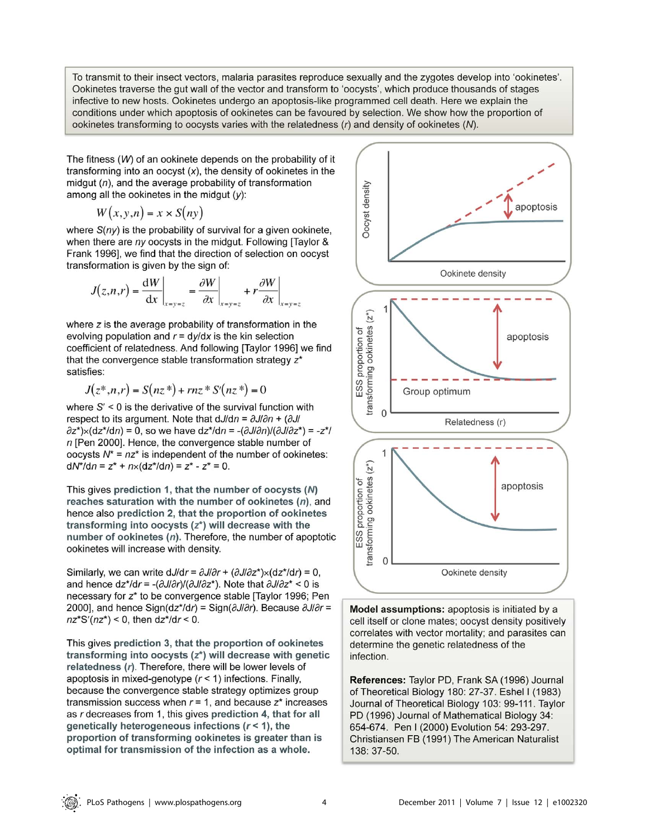To transmit to their insect vectors, malaria parasites reproduce sexually and the zygotes develop into 'ookinetes'. Ookinetes traverse the gut wall of the vector and transform to 'oocysts', which produce thousands of stages infective to new hosts. Ookinetes undergo an apoptosis-like programmed cell death. Here we explain the conditions under which apoptosis of ookinetes can be favoured by selection. We show how the proportion of ookinetes transforming to oocysts varies with the relatedness  $(r)$  and density of ookinetes  $(N)$ .

The fitness (W) of an ookinete depends on the probability of it transforming into an oocyst  $(x)$ , the density of ookinetes in the midgut  $(n)$ , and the average probability of transformation among all the ookinetes in the midgut  $(y)$ :

$$
W(x, y, n) = x \times S(ny)
$$

where  $S(ny)$  is the probability of survival for a given ookinete, when there are  $ny$  oocysts in the midgut. Following [Taylor & Frank 1996], we find that the direction of selection on oocyst transformation is given by the sign of:

$$
J(z,n,r) = \frac{\mathrm{d}W}{\mathrm{d}x}\bigg|_{x=y=z} = \frac{\partial W}{\partial x}\bigg|_{x=y=z} + r\frac{\partial W}{\partial x}\bigg|_{x=y=z}
$$

where z is the average probability of transformation in the evolving population and  $r = dy/dx$  is the kin selection coefficient of relatedness. And following [Taylor 1996] we find that the convergence stable transformation strategy z\* satisfies:

$$
J(z^*, n, r) = S(nz^*) + rnz^*S'(nz^*) = 0
$$

where  $S' \le 0$  is the derivative of the survival function with respect to its argument. Note that  $dJ/dn = \partial J/\partial n + (\partial J/\partial n)$  $\partial z^*$  \x(dz\*/dn) = 0, so we have dz\*/dn = - $(\partial J/\partial n)/(\partial J/\partial z^*)$  = -z\*/ n [Pen 2000]. Hence, the convergence stable number of oocysts  $N^* = nz^*$  is independent of the number of ookinetes:  $dN^{*}/dn = z^{*} + n \times (dz^{*}/dn) = z^{*} - z^{*} = 0.$ 

This gives prediction 1, that the number of oocysts (N) reaches saturation with the number of ookinetes  $(n)$ , and hence also prediction 2, that the proportion of ookinetes transforming into oocysts (z\*) will decrease with the number of ookinetes  $(n)$ . Therefore, the number of apoptotic ookinetes will increase with density.

Similarly, we can write  $dJ/dr = \partial J/\partial r + (\partial J/\partial z^*) \times (dz^* / dr) = 0$ , and hence  $dz^*$ /dr = -( $\partial J/\partial r$ )/( $\partial J/\partial z^*$ ). Note that  $\partial J/\partial z^*$  < 0 is necessary for z\* to be convergence stable [Taylor 1996; Pen 2000], and hence Sign(dz\*/dr) = Sign( $\partial$ J/ $\partial$ r). Because  $\partial$ J/ $\partial$ r =  $nz*S'(nz*)$  < 0, then  $dz* / dr < 0$ .

This gives prediction 3, that the proportion of ookinetes transforming into oocysts (z\*) will decrease with genetic relatedness (r). Therefore, there will be lower levels of apoptosis in mixed-genotype  $(r < 1)$  infections. Finally, because the convergence stable strategy optimizes group transmission success when  $r = 1$ , and because  $z^*$  increases as r decreases from 1, this gives prediction 4, that for all genetically heterogeneous infections  $(r < 1)$ , the proportion of transforming ookinetes is greater than is optimal for transmission of the infection as a whole.



Model assumptions: apoptosis is initiated by a cell itself or clone mates; oocyst density positively correlates with vector mortality; and parasites can determine the genetic relatedness of the infection.

References: Taylor PD, Frank SA (1996) Journal of Theoretical Biology 180: 27-37. Eshel I (1983) Journal of Theoretical Biology 103: 99-111. Taylor PD (1996) Journal of Mathematical Biology 34: 654-674. Pen I (2000) Evolution 54: 293-297. Christiansen FB (1991) The American Naturalist 138: 37-50.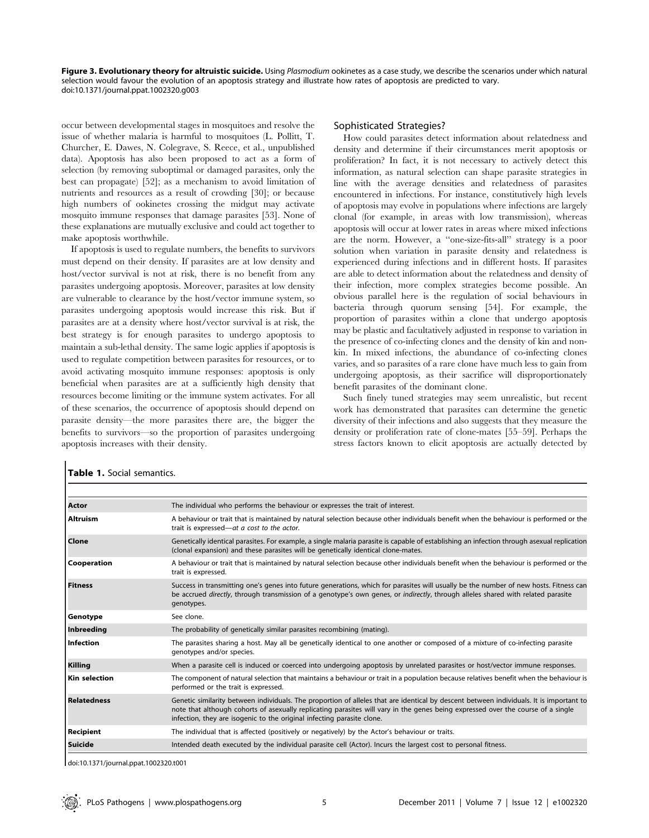Figure 3. Evolutionary theory for altruistic suicide. Using Plasmodium ookinetes as a case study, we describe the scenarios under which natural selection would favour the evolution of an apoptosis strategy and illustrate how rates of apoptosis are predicted to vary. doi:10.1371/journal.ppat.1002320.g003

occur between developmental stages in mosquitoes and resolve the issue of whether malaria is harmful to mosquitoes (L. Pollitt, T. Churcher, E. Dawes, N. Colegrave, S. Reece, et al., unpublished data). Apoptosis has also been proposed to act as a form of selection (by removing suboptimal or damaged parasites, only the best can propagate) [52]; as a mechanism to avoid limitation of nutrients and resources as a result of crowding [30]; or because high numbers of ookinetes crossing the midgut may activate mosquito immune responses that damage parasites [53]. None of these explanations are mutually exclusive and could act together to make apoptosis worthwhile.

If apoptosis is used to regulate numbers, the benefits to survivors must depend on their density. If parasites are at low density and host/vector survival is not at risk, there is no benefit from any parasites undergoing apoptosis. Moreover, parasites at low density are vulnerable to clearance by the host/vector immune system, so parasites undergoing apoptosis would increase this risk. But if parasites are at a density where host/vector survival is at risk, the best strategy is for enough parasites to undergo apoptosis to maintain a sub-lethal density. The same logic applies if apoptosis is used to regulate competition between parasites for resources, or to avoid activating mosquito immune responses: apoptosis is only beneficial when parasites are at a sufficiently high density that resources become limiting or the immune system activates. For all of these scenarios, the occurrence of apoptosis should depend on parasite density—the more parasites there are, the bigger the benefits to survivors—so the proportion of parasites undergoing apoptosis increases with their density.

#### Sophisticated Strategies?

How could parasites detect information about relatedness and density and determine if their circumstances merit apoptosis or proliferation? In fact, it is not necessary to actively detect this information, as natural selection can shape parasite strategies in line with the average densities and relatedness of parasites encountered in infections. For instance, constitutively high levels of apoptosis may evolve in populations where infections are largely clonal (for example, in areas with low transmission), whereas apoptosis will occur at lower rates in areas where mixed infections are the norm. However, a ''one-size-fits-all'' strategy is a poor solution when variation in parasite density and relatedness is experienced during infections and in different hosts. If parasites are able to detect information about the relatedness and density of their infection, more complex strategies become possible. An obvious parallel here is the regulation of social behaviours in bacteria through quorum sensing [54]. For example, the proportion of parasites within a clone that undergo apoptosis may be plastic and facultatively adjusted in response to variation in the presence of co-infecting clones and the density of kin and nonkin. In mixed infections, the abundance of co-infecting clones varies, and so parasites of a rare clone have much less to gain from undergoing apoptosis, as their sacrifice will disproportionately benefit parasites of the dominant clone.

Such finely tuned strategies may seem unrealistic, but recent work has demonstrated that parasites can determine the genetic diversity of their infections and also suggests that they measure the density or proliferation rate of clone-mates [55–59]. Perhaps the stress factors known to elicit apoptosis are actually detected by

| Actor                | The individual who performs the behaviour or expresses the trait of interest.                                                                                                                                                                                                                                                                         |
|----------------------|-------------------------------------------------------------------------------------------------------------------------------------------------------------------------------------------------------------------------------------------------------------------------------------------------------------------------------------------------------|
| <b>Altruism</b>      | A behaviour or trait that is maintained by natural selection because other individuals benefit when the behaviour is performed or the<br>trait is expressed—at a cost to the actor.                                                                                                                                                                   |
| Clone                | Genetically identical parasites. For example, a single malaria parasite is capable of establishing an infection through asexual replication<br>(clonal expansion) and these parasites will be genetically identical clone-mates.                                                                                                                      |
| Cooperation          | A behaviour or trait that is maintained by natural selection because other individuals benefit when the behaviour is performed or the<br>trait is expressed.                                                                                                                                                                                          |
| <b>Fitness</b>       | Success in transmitting one's genes into future generations, which for parasites will usually be the number of new hosts. Fitness can<br>be accrued directly, through transmission of a genotype's own genes, or indirectly, through alleles shared with related parasite<br>genotypes.                                                               |
| Genotype             | See clone.                                                                                                                                                                                                                                                                                                                                            |
| Inbreeding           | The probability of genetically similar parasites recombining (mating).                                                                                                                                                                                                                                                                                |
| <b>Infection</b>     | The parasites sharing a host. May all be genetically identical to one another or composed of a mixture of co-infecting parasite<br>genotypes and/or species.                                                                                                                                                                                          |
| Killing              | When a parasite cell is induced or coerced into undergoing apoptosis by unrelated parasites or host/vector immune responses.                                                                                                                                                                                                                          |
| <b>Kin selection</b> | The component of natural selection that maintains a behaviour or trait in a population because relatives benefit when the behaviour is<br>performed or the trait is expressed.                                                                                                                                                                        |
| <b>Relatedness</b>   | Genetic similarity between individuals. The proportion of alleles that are identical by descent between individuals. It is important to<br>note that although cohorts of asexually replicating parasites will vary in the genes being expressed over the course of a single<br>infection, they are isogenic to the original infecting parasite clone. |
| <b>Recipient</b>     | The individual that is affected (positively or negatively) by the Actor's behaviour or traits.                                                                                                                                                                                                                                                        |
| <b>Suicide</b>       | Intended death executed by the individual parasite cell (Actor). Incurs the largest cost to personal fitness.                                                                                                                                                                                                                                         |

Table 1. Social semantics.

doi:10.1371/journal.ppat.1002320.t001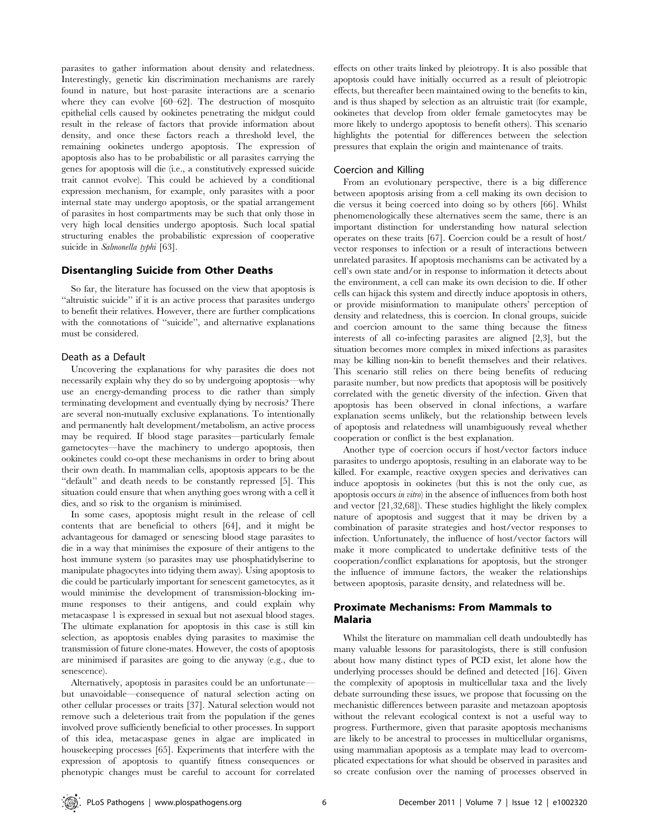parasites to gather information about density and relatedness. Interestingly, genetic kin discrimination mechanisms are rarely found in nature, but host–parasite interactions are a scenario where they can evolve [60–62]. The destruction of mosquito epithelial cells caused by ookinetes penetrating the midgut could result in the release of factors that provide information about density, and once these factors reach a threshold level, the remaining ookinetes undergo apoptosis. The expression of apoptosis also has to be probabilistic or all parasites carrying the genes for apoptosis will die (i.e., a constitutively expressed suicide trait cannot evolve). This could be achieved by a conditional expression mechanism, for example, only parasites with a poor internal state may undergo apoptosis, or the spatial arrangement of parasites in host compartments may be such that only those in very high local densities undergo apoptosis. Such local spatial structuring enables the probabilistic expression of cooperative suicide in Salmonella typhi [63].

#### Disentangling Suicide from Other Deaths

So far, the literature has focussed on the view that apoptosis is ''altruistic suicide'' if it is an active process that parasites undergo to benefit their relatives. However, there are further complications with the connotations of ''suicide'', and alternative explanations must be considered.

#### Death as a Default

Uncovering the explanations for why parasites die does not necessarily explain why they do so by undergoing apoptosis—why use an energy-demanding process to die rather than simply terminating development and eventually dying by necrosis? There are several non-mutually exclusive explanations. To intentionally and permanently halt development/metabolism, an active process may be required. If blood stage parasites—particularly female gametocytes—have the machinery to undergo apoptosis, then ookinetes could co-opt these mechanisms in order to bring about their own death. In mammalian cells, apoptosis appears to be the "default" and death needs to be constantly repressed [5]. This situation could ensure that when anything goes wrong with a cell it dies, and so risk to the organism is minimised.

In some cases, apoptosis might result in the release of cell contents that are beneficial to others [64], and it might be advantageous for damaged or senescing blood stage parasites to die in a way that minimises the exposure of their antigens to the host immune system (so parasites may use phosphatidylserine to manipulate phagocytes into tidying them away). Using apoptosis to die could be particularly important for senescent gametocytes, as it would minimise the development of transmission-blocking immune responses to their antigens, and could explain why metacaspase 1 is expressed in sexual but not asexual blood stages. The ultimate explanation for apoptosis in this case is still kin selection, as apoptosis enables dying parasites to maximise the transmission of future clone-mates. However, the costs of apoptosis are minimised if parasites are going to die anyway (e.g., due to senescence).

Alternatively, apoptosis in parasites could be an unfortunate but unavoidable—consequence of natural selection acting on other cellular processes or traits [37]. Natural selection would not remove such a deleterious trait from the population if the genes involved prove sufficiently beneficial to other processes. In support of this idea, metacaspase genes in algae are implicated in housekeeping processes [65]. Experiments that interfere with the expression of apoptosis to quantify fitness consequences or phenotypic changes must be careful to account for correlated effects on other traits linked by pleiotropy. It is also possible that apoptosis could have initially occurred as a result of pleiotropic effects, but thereafter been maintained owing to the benefits to kin, and is thus shaped by selection as an altruistic trait (for example, ookinetes that develop from older female gametocytes may be more likely to undergo apoptosis to benefit others). This scenario highlights the potential for differences between the selection pressures that explain the origin and maintenance of traits.

#### Coercion and Killing

From an evolutionary perspective, there is a big difference between apoptosis arising from a cell making its own decision to die versus it being coerced into doing so by others [66]. Whilst phenomenologically these alternatives seem the same, there is an important distinction for understanding how natural selection operates on these traits [67]. Coercion could be a result of host/ vector responses to infection or a result of interactions between unrelated parasites. If apoptosis mechanisms can be activated by a cell's own state and/or in response to information it detects about the environment, a cell can make its own decision to die. If other cells can hijack this system and directly induce apoptosis in others, or provide misinformation to manipulate others' perception of density and relatedness, this is coercion. In clonal groups, suicide and coercion amount to the same thing because the fitness interests of all co-infecting parasites are aligned [2,3], but the situation becomes more complex in mixed infections as parasites may be killing non-kin to benefit themselves and their relatives. This scenario still relies on there being benefits of reducing parasite number, but now predicts that apoptosis will be positively correlated with the genetic diversity of the infection. Given that apoptosis has been observed in clonal infections, a warfare explanation seems unlikely, but the relationship between levels of apoptosis and relatedness will unambiguously reveal whether cooperation or conflict is the best explanation.

Another type of coercion occurs if host/vector factors induce parasites to undergo apoptosis, resulting in an elaborate way to be killed. For example, reactive oxygen species and derivatives can induce apoptosis in ookinetes (but this is not the only cue, as apoptosis occurs in vitro) in the absence of influences from both host and vector [21,32,68]). These studies highlight the likely complex nature of apoptosis and suggest that it may be driven by a combination of parasite strategies and host/vector responses to infection. Unfortunately, the influence of host/vector factors will make it more complicated to undertake definitive tests of the cooperation/conflict explanations for apoptosis, but the stronger the influence of immune factors, the weaker the relationships between apoptosis, parasite density, and relatedness will be.

## Proximate Mechanisms: From Mammals to Malaria

Whilst the literature on mammalian cell death undoubtedly has many valuable lessons for parasitologists, there is still confusion about how many distinct types of PCD exist, let alone how the underlying processes should be defined and detected [16]. Given the complexity of apoptosis in multicellular taxa and the lively debate surrounding these issues, we propose that focussing on the mechanistic differences between parasite and metazoan apoptosis without the relevant ecological context is not a useful way to progress. Furthermore, given that parasite apoptosis mechanisms are likely to be ancestral to processes in multicellular organisms, using mammalian apoptosis as a template may lead to overcomplicated expectations for what should be observed in parasites and so create confusion over the naming of processes observed in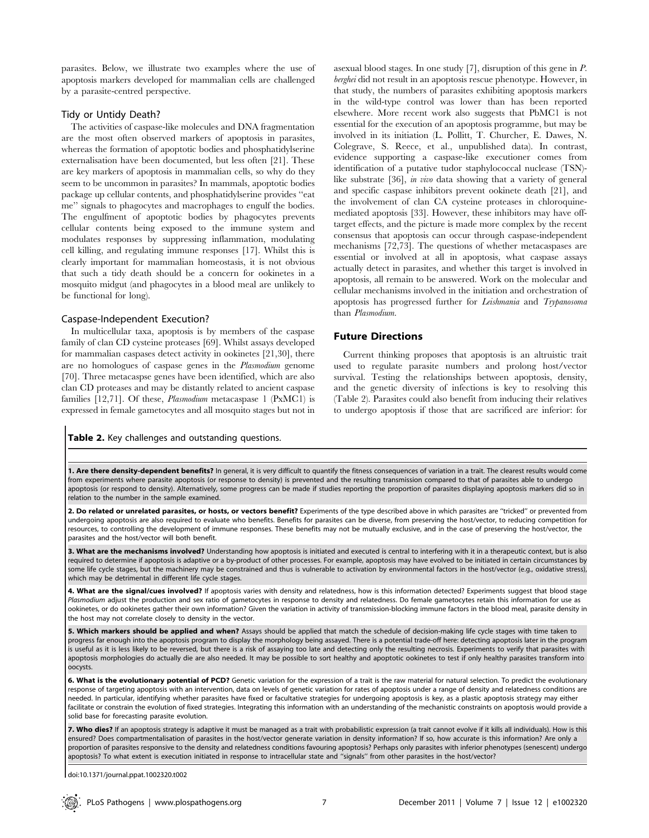parasites. Below, we illustrate two examples where the use of apoptosis markers developed for mammalian cells are challenged by a parasite-centred perspective.

#### Tidy or Untidy Death?

The activities of caspase-like molecules and DNA fragmentation are the most often observed markers of apoptosis in parasites, whereas the formation of apoptotic bodies and phosphatidylserine externalisation have been documented, but less often [21]. These are key markers of apoptosis in mammalian cells, so why do they seem to be uncommon in parasites? In mammals, apoptotic bodies package up cellular contents, and phosphatidylserine provides ''eat me'' signals to phagocytes and macrophages to engulf the bodies. The engulfment of apoptotic bodies by phagocytes prevents cellular contents being exposed to the immune system and modulates responses by suppressing inflammation, modulating cell killing, and regulating immune responses [17]. Whilst this is clearly important for mammalian homeostasis, it is not obvious that such a tidy death should be a concern for ookinetes in a mosquito midgut (and phagocytes in a blood meal are unlikely to be functional for long).

#### Caspase-Independent Execution?

In multicellular taxa, apoptosis is by members of the caspase family of clan CD cysteine proteases [69]. Whilst assays developed for mammalian caspases detect activity in ookinetes [21,30], there are no homologues of caspase genes in the Plasmodium genome [70]. Three metacaspse genes have been identified, which are also clan CD proteases and may be distantly related to ancient caspase families [12,71]. Of these, Plasmodium metacaspase 1 (PxMC1) is expressed in female gametocytes and all mosquito stages but not in asexual blood stages. In one study [7], disruption of this gene in P. berghei did not result in an apoptosis rescue phenotype. However, in that study, the numbers of parasites exhibiting apoptosis markers in the wild-type control was lower than has been reported elsewhere. More recent work also suggests that PbMC1 is not essential for the execution of an apoptosis programme, but may be involved in its initiation (L. Pollitt, T. Churcher, E. Dawes, N. Colegrave, S. Reece, et al., unpublished data). In contrast, evidence supporting a caspase-like executioner comes from identification of a putative tudor staphylococcal nuclease (TSN) like substrate [36], in vivo data showing that a variety of general and specific caspase inhibitors prevent ookinete death [21], and the involvement of clan CA cysteine proteases in chloroquinemediated apoptosis [33]. However, these inhibitors may have offtarget effects, and the picture is made more complex by the recent consensus that apoptosis can occur through caspase-independent mechanisms [72,73]. The questions of whether metacaspases are essential or involved at all in apoptosis, what caspase assays actually detect in parasites, and whether this target is involved in apoptosis, all remain to be answered. Work on the molecular and cellular mechanisms involved in the initiation and orchestration of apoptosis has progressed further for Leishmania and Trypanosoma than Plasmodium.

#### Future Directions

Current thinking proposes that apoptosis is an altruistic trait used to regulate parasite numbers and prolong host/vector survival. Testing the relationships between apoptosis, density, and the genetic diversity of infections is key to resolving this (Table 2). Parasites could also benefit from inducing their relatives to undergo apoptosis if those that are sacrificed are inferior: for

Table 2. Key challenges and outstanding questions.

1. Are there density-dependent benefits? In general, it is very difficult to quantify the fitness consequences of variation in a trait. The clearest results would come from experiments where parasite apoptosis (or response to density) is prevented and the resulting transmission compared to that of parasites able to undergo apoptosis (or respond to density). Alternatively, some progress can be made if studies reporting the proportion of parasites displaying apoptosis markers did so in relation to the number in the sample examined.

2. Do related or unrelated parasites, or hosts, or vectors benefit? Experiments of the type described above in which parasites are "tricked" or prevented from undergoing apoptosis are also required to evaluate who benefits. Benefits for parasites can be diverse, from preserving the host/vector, to reducing competition for resources, to controlling the development of immune responses. These benefits may not be mutually exclusive, and in the case of preserving the host/vector, the parasites and the host/vector will both benefit.

3. What are the mechanisms involved? Understanding how apoptosis is initiated and executed is central to interfering with it in a therapeutic context, but is also required to determine if apoptosis is adaptive or a by-product of other processes. For example, apoptosis may have evolved to be initiated in certain circumstances by some life cycle stages, but the machinery may be constrained and thus is vulnerable to activation by environmental factors in the host/vector (e.g., oxidative stress), which may be detrimental in different life cycle stages.

4. What are the signal/cues involved? If apoptosis varies with density and relatedness, how is this information detected? Experiments suggest that blood stage Plasmodium adjust the production and sex ratio of gametocytes in response to density and relatedness. Do female gametocytes retain this information for use as ookinetes, or do ookinetes gather their own information? Given the variation in activity of transmission-blocking immune factors in the blood meal, parasite density in the host may not correlate closely to density in the vector.

5. Which markers should be applied and when? Assays should be applied that match the schedule of decision-making life cycle stages with time taken to progress far enough into the apoptosis program to display the morphology being assayed. There is a potential trade-off here: detecting apoptosis later in the program is useful as it is less likely to be reversed, but there is a risk of assaying too late and detecting only the resulting necrosis. Experiments to verify that parasites with apoptosis morphologies do actually die are also needed. It may be possible to sort healthy and apoptotic ookinetes to test if only healthy parasites transform into oocysts.

6. What is the evolutionary potential of PCD? Genetic variation for the expression of a trait is the raw material for natural selection. To predict the evolutionary response of targeting apoptosis with an intervention, data on levels of genetic variation for rates of apoptosis under a range of density and relatedness conditions are needed. In particular, identifying whether parasites have fixed or facultative strategies for undergoing apoptosis is key, as a plastic apoptosis strategy may either facilitate or constrain the evolution of fixed strategies. Integrating this information with an understanding of the mechanistic constraints on apoptosis would provide a solid base for forecasting parasite evolution.

7. Who dies? If an apoptosis strategy is adaptive it must be managed as a trait with probabilistic expression (a trait cannot evolve if it kills all individuals). How is this ensured? Does compartmentalisation of parasites in the host/vector generate variation in density information? If so, how accurate is this information? Are only a proportion of parasites responsive to the density and relatedness conditions favouring apoptosis? Perhaps only parasites with inferior phenotypes (senescent) undergo apoptosis? To what extent is execution initiated in response to intracellular state and ''signals'' from other parasites in the host/vector?

doi:10.1371/journal.ppat.1002320.t002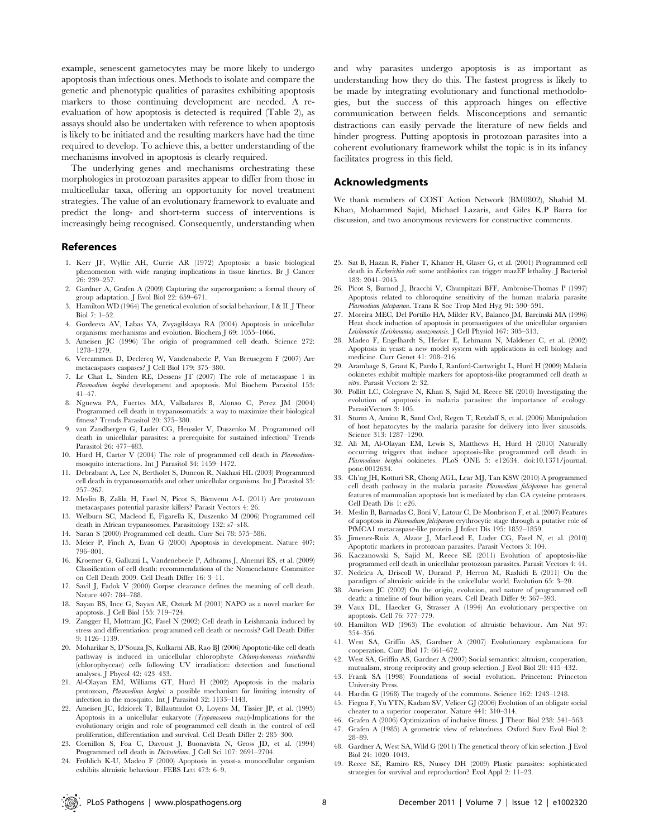example, senescent gametocytes may be more likely to undergo apoptosis than infectious ones. Methods to isolate and compare the genetic and phenotypic qualities of parasites exhibiting apoptosis markers to those continuing development are needed. A reevaluation of how apoptosis is detected is required (Table 2), as assays should also be undertaken with reference to when apoptosis is likely to be initiated and the resulting markers have had the time required to develop. To achieve this, a better understanding of the mechanisms involved in apoptosis is clearly required.

The underlying genes and mechanisms orchestrating these morphologies in protozoan parasites appear to differ from those in multicellular taxa, offering an opportunity for novel treatment strategies. The value of an evolutionary framework to evaluate and predict the long- and short-term success of interventions is increasingly being recognised. Consequently, understanding when

#### References

- 1. Kerr JF, Wyllie AH, Currie AR (1972) Apoptosis: a basic biological phenomenon with wide ranging implications in tissue kinetics. Br J Cancer 26: 239–257.
- 2. Gardner A, Grafen A (2009) Capturing the superorganism: a formal theory of group adaptation. J Evol Biol 22: 659–671.
- 3. Hamilton WD (1964) The genetical evolution of social behaviour, I & II. J Theor Biol 7: 1–52.
- 4. Gordeeva AV, Labas YA, Zvyagilskaya RA (2004) Apoptosis in unicellular organisms: mechanisms and evolution. Biochem J 69: 1055–1066.
- 5. Ameisen JC (1996) The origin of programmed cell death. Science 272: 1278–1279.
- 6. Vercammen D, Declercq W, Vandenabeele P, Van Breusegem F (2007) Are metacaspases caspases? J Cell Biol 179: 375–380.
- 7. Le Chat L, Sinden RE, Dessens JT (2007) The role of metacaspase 1 in Plasmodium berghei development and apoptosis. Mol Biochem Parasitol 153: 41–47.
- 8. Nguewa PA, Fuertes MA, Valladares B, Alonso C, Perez JM (2004) Programmed cell death in trypanosomatids: a way to maximize their biological fitness? Trends Parasitol 20: 375–380.
- 9. van Zandbergen G, Luder CG, Heussler V, Duszenko M . Programmed cell death in unicellular parasites: a prerequisite for sustained infection? Trends Parasitol 26: 477–483.
- 10. Hurd H, Carter V (2004) The role of programmed cell death in Plasmodiummosquito interactions. Int J Parasitol 34: 1459–1472.
- 11. Debrabant A, Lee N, Bertholet S, Duncon R, Nakhasi HL (2003) Programmed cell death in trypanosomatids and other unicellular organisms. Int J Parasitol 33: 257–267.
- 12. Meslin B, Zalila H, Fasel N, Picot S, Bienvenu A-L (2011) Are protozoan metacaspases potential parasite killers? Parasit Vectors 4: 26.
- 13. Welburn SC, Macleod E, Figarella K, Duszenko M (2006) Programmed cell death in African trypanosomes. Parasitology 132: s7–s18.
- 14. Saran S (2000) Programmed cell death. Curr Sci 78: 575–586.
- 15. Meier P, Finch A, Evan G (2000) Apoptosis in development. Nature 407: 796–801.
- 16. Kroemer G, Galluzzi L, Vandenebeele P, Adbrams J, Alnemri ES, et al. (2009) Classification of cell death: recommendations of the Nomenclature Committee on Cell Death 2009. Cell Death Differ 16: 3–11.
- 17. Savil J, Fadok V (2000) Corpse clearance defines the meaning of cell death. Nature 407: 784–788.
- 18. Sayan BS, Ince G, Sayan AE, Ozturk M (2001) NAPO as a novel marker for apoptosis. J Cell Biol 155: 719–724.
- 19. Zangger H, Mottram JC, Fasel N (2002) Cell death in Leishmania induced by stress and differentiation: programmed cell death or necrosis? Cell Death Differ 9: 1126–1139.
- 20. Moharikar S, D'Souza JS, Kulkarni AB, Rao BJ (2006) Apoptotic-like cell death pathway is induced in unicellular chlorophyte Chlamydomonas reinhardtii (chlorophyceae) cells following UV irradiation: detection and functional analyses. J Phycol 42: 423–433.
- 21. Al-Olayan EM, Williams GT, Hurd H (2002) Apoptosis in the malaria protozoan, Plasmodium berghei: a possible mechanism for limiting intensity of infection in the mosquito. Int J Parasitol 32: 1133–1143.
- 22. Ameisen JC, Idziorek T, Billautmulot O, Loyens M, Tissier JP, et al. (1995) Apoptosis in a unicellular eukaryote (Trypanosoma cruzi)-Implications for the evolutionary origin and role of programmed cell death in the control of cell proliferation, differentiation and survival. Cell Death Differ 2: 285–300.
- 23. Cornillon S, Foa C, Davoust J, Buonavista N, Gross JD, et al. (1994) Programmed cell death in Dictostelium. J Cell Sci 107: 2691–2704.
- 24. Fröhlich K-U, Madeo F (2000) Apoptosis in yeast-a monocellular organism exhibits altruistic behaviour. FEBS Lett 473: 6–9.

and why parasites undergo apoptosis is as important as understanding how they do this. The fastest progress is likely to be made by integrating evolutionary and functional methodologies, but the success of this approach hinges on effective communication between fields. Misconceptions and semantic distractions can easily pervade the literature of new fields and hinder progress. Putting apoptosis in protozoan parasites into a coherent evolutionary framework whilst the topic is in its infancy facilitates progress in this field.

#### Acknowledgments

We thank members of COST Action Network (BM0802), Shahid M. Khan, Mohammed Sajid, Michael Lazaris, and Giles K.P Barra for discussion, and two anonymous reviewers for constructive comments.

- 25. Sat B, Hazan R, Fisher T, Khaner H, Glaser G, et al. (2001) Programmed cell death in Escherichia coli: some antibiotics can trigger mazEF lethality. J Bacteriol 183: 2041–2045.
- 26. Picot S, Burnod J, Bracchi V, Chumpitazi BFF, Ambroise-Thomas P (1997) Apoptosis related to chloroquine sensitivity of the human malaria parasite Plasmodium falciparum. Trans R Soc Trop Med Hyg 91: 590–591.
- 27. Moreira MEC, Del Portillo HA, Milder RV, Balanco JM, Barcinski MA (1996) Heat shock induction of apoptosis in promastigotes of the unicellular organism Leishmania (Leishmania) amazonensis. J Cell Physiol 167: 305–313.
- 28. Madeo F, Engelhardt S, Herker E, Lehmann N, Maldener C, et al. (2002) Apoptosis in yeast: a new model system with applications in cell biology and medicine. Curr Genet 41: 208–216.
- 29. Arambage S, Grant K, Pardo I, Ranford-Cartwright L, Hurd H (2009) Malaria ookinetes exhibit multiple markers for apoptosis-like programmed cell death in vitro. Parasit Vectors 2: 32.
- 30. Pollitt LC, Colegrave N, Khan S, Sajid M, Reece SE (2010) Investigating the evolution of apoptosis in malaria parasites: the importance of ecology. ParasitVectors 3: 105.
- 31. Sturm A, Amino R, Sand Cvd, Regen T, Retzlaff S, et al. (2006) Manipulation of host hepatocytes by the malaria parasite for delivery into liver sinusoids. Science 313: 1287–1290.
- 32. Ali M, Al-Olayan EM, Lewis S, Matthews H, Hurd H (2010) Naturally occurring triggers that induce apoptosis-like programmed cell death in Plasmodium berghei ookinetes. PLoS ONE 5: e12634. doi:10.1371/journal. pone.0012634.
- 33. Ch'ng JH, Kotturi SR, Chong AGL, Lear MJ, Tan KSW (2010) A programmed cell death pathway in the malaria parasite Plasmodium falciparum has general features of mammalian apoptosis but is mediated by clan CA cysteine proteases. Cell Death Dis 1: e26.
- 34. Meslin B, Barnadas C, Boni V, Latour C, De Monbrison F, et al. (2007) Features of apoptosis in Plasmodium falciparum erythrocytic stage through a putative role of PfMCA1 metacaspase-like protein. J Infect Dis 195: 1852–1859.
- 35. Jimenez-Ruiz A, Alzate J, MacLeod E, Luder CG, Fasel N, et al. (2010) Apoptotic markers in protozoan parasites. Parasit Vectors 3: 104.
- 36. Kaczanowski S, Sajid M, Reece SE (2011) Evolution of apoptosis-like programmed cell death in unicellular protozoan parasites. Parasit Vectors 4: 44.
- 37. Nedelcu A, Driscoll W, Durand P, Herron M, Rashidi E (2011) On the paradigm of altruistic suicide in the unicellular world. Evolution 65: 3–20.
- 38. Ameisen JC (2002) On the origin, evolution, and nature of programmed cell death: a timeline of four billion years. Cell Death Differ 9: 367–393.
- 39. Vaux DL, Haecker G, Strasser A (1994) An evolutionary perspective on apoptosis. Cell 76: 777–779.
- 40. Hamilton WD (1963) The evolution of altruistic behaviour. Am Nat 97: 354–356.
- 41. West SA, Griffin AS, Gardner A (2007) Evolutionary explanations for cooperation. Curr Biol 17: 661–672.
- 42. West SA, Griffin AS, Gardner A (2007) Social semantics: altruism, cooperation, mutualism, strong reciprocity and group selection. J Evol Biol 20: 415–432.
- 43. Frank SA (1998) Foundations of social evolution. Princeton: Princeton University Press.
- 44. Hardin G (1968) The tragedy of the commons. Science 162: 1243–1248.
- 45. Fiegna F, Yu YTN, Kadam SV, Velicer GJ (2006) Evolution of an obligate social cheater to a superior cooperator. Nature 441: 310–314.
- 46. Grafen A (2006) Optimization of inclusive fitness. J Theor Biol 238: 541–563. 47. Grafen A (1985) A geometric view of relatedness. Oxford Surv Evol Biol 2:
- 28–89. 48. Gardner A, West SA, Wild G (2011) The genetical theory of kin selection. J Evol
- Biol 24: 1020–1043.
- 49. Reece SE, Ramiro RS, Nussey DH (2009) Plastic parasites: sophisticated strategies for survival and reproduction? Evol Appl 2: 11–23.